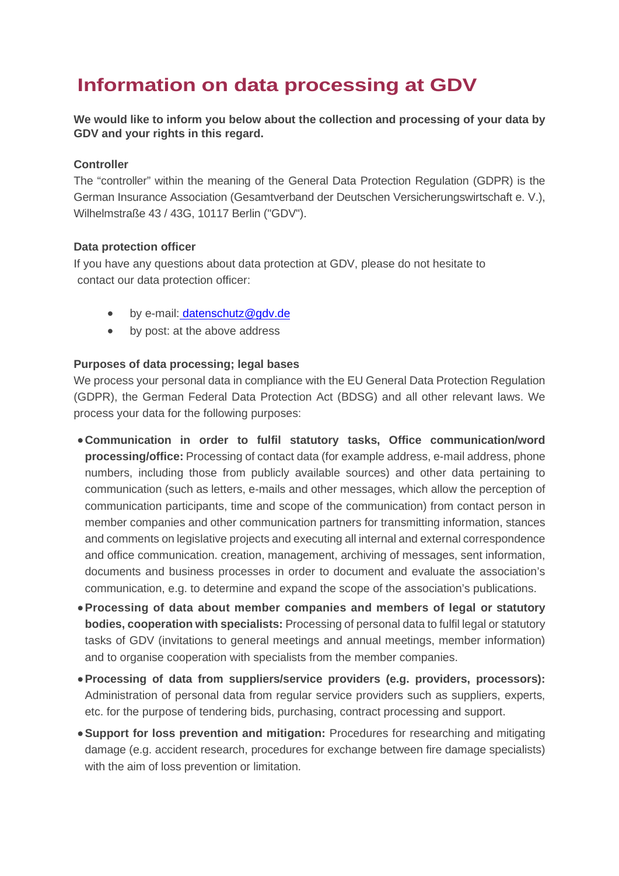# **Information on data processing at GDV**

**We would like to inform you below about the collection and processing of your data by GDV and your rights in this regard.** 

## **Controller**

The "controller" within the meaning of the General Data Protection Regulation (GDPR) is the German Insurance Association (Gesamtverband der Deutschen Versicherungswirtschaft e. V.), Wilhelmstraße 43 / 43G, 10117 Berlin ("GDV").

# **Data protection officer**

If you have any questions about data protection at GDV, please do not hesitate to contact our data protection officer:

- by e-mail: datenschutz@gdv.de
- by post: at the above address

# **Purposes of data processing; legal bases**

We process your personal data in compliance with the EU General Data Protection Regulation (GDPR), the German Federal Data Protection Act (BDSG) and all other relevant laws. We process your data for the following purposes:

- **Communication in order to fulfil statutory tasks, Office communication/word processing/office:** Processing of contact data (for example address, e-mail address, phone numbers, including those from publicly available sources) and other data pertaining to communication (such as letters, e-mails and other messages, which allow the perception of communication participants, time and scope of the communication) from contact person in member companies and other communication partners for transmitting information, stances and comments on legislative projects and executing all internal and external correspondence and office communication. creation, management, archiving of messages, sent information, documents and business processes in order to document and evaluate the association's communication, e.g. to determine and expand the scope of the association's publications.
- **Processing of data about member companies and members of legal or statutory bodies, cooperation with specialists:** Processing of personal data to fulfil legal or statutory tasks of GDV (invitations to general meetings and annual meetings, member information) and to organise cooperation with specialists from the member companies.
- **Processing of data from suppliers/service providers (e.g. providers, processors):**  Administration of personal data from regular service providers such as suppliers, experts, etc. for the purpose of tendering bids, purchasing, contract processing and support.
- **Support for loss prevention and mitigation:** Procedures for researching and mitigating damage (e.g. accident research, procedures for exchange between fire damage specialists) with the aim of loss prevention or limitation.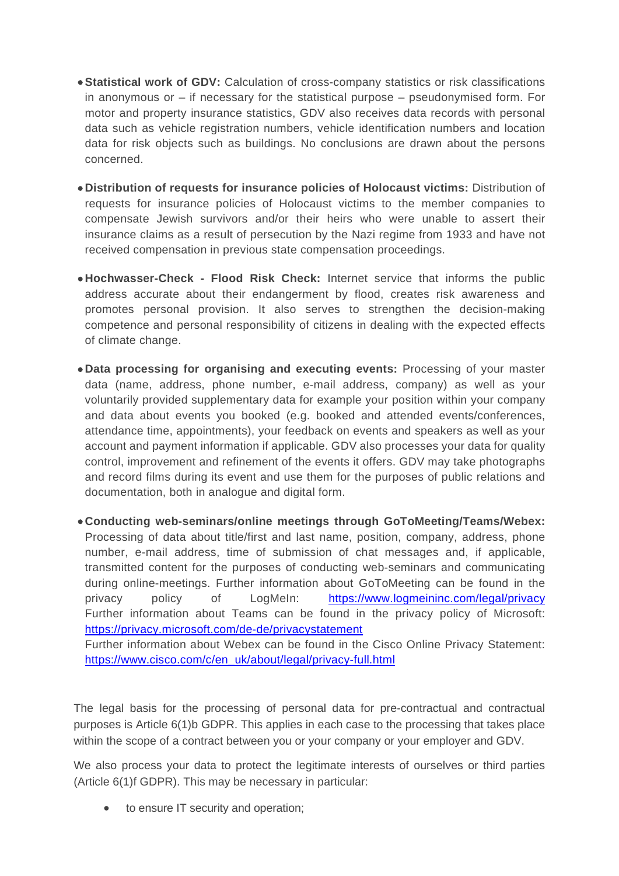- **Statistical work of GDV:** Calculation of cross-company statistics or risk classifications in anonymous or – if necessary for the statistical purpose – pseudonymised form. For motor and property insurance statistics, GDV also receives data records with personal data such as vehicle registration numbers, vehicle identification numbers and location data for risk objects such as buildings. No conclusions are drawn about the persons concerned.
- **Distribution of requests for insurance policies of Holocaust victims:** Distribution of requests for insurance policies of Holocaust victims to the member companies to compensate Jewish survivors and/or their heirs who were unable to assert their insurance claims as a result of persecution by the Nazi regime from 1933 and have not received compensation in previous state compensation proceedings.
- **Hochwasser-Check Flood Risk Check:** Internet service that informs the public address accurate about their endangerment by flood, creates risk awareness and promotes personal provision. It also serves to strengthen the decision-making competence and personal responsibility of citizens in dealing with the expected effects of climate change.
- **Data processing for organising and executing events:** Processing of your master data (name, address, phone number, e-mail address, company) as well as your voluntarily provided supplementary data for example your position within your company and data about events you booked (e.g. booked and attended events/conferences, attendance time, appointments), your feedback on events and speakers as well as your account and payment information if applicable. GDV also processes your data for quality control, improvement and refinement of the events it offers. GDV may take photographs and record films during its event and use them for the purposes of public relations and documentation, both in analogue and digital form.
- **Conducting web-seminars/online meetings through GoToMeeting/Teams/Webex:**  Processing of data about title/first and last name, position, company, address, phone number, e-mail address, time of submission of chat messages and, if applicable, transmitted content for the purposes of conducting web-seminars and communicating during online-meetings. Further information about GoToMeeting can be found in the privacy policy of LogMeIn: https://www.logmeininc.com/legal/privacy Further information about Teams can be found in the privacy policy of Microsoft: https://privacy.microsoft.com/de-de/privacystatement

Further information about Webex can be found in the Cisco Online Privacy Statement: https://www.cisco.com/c/en\_uk/about/legal/privacy-full.html

The legal basis for the processing of personal data for pre-contractual and contractual purposes is Article 6(1)b GDPR. This applies in each case to the processing that takes place within the scope of a contract between you or your company or your employer and GDV.

We also process your data to protect the legitimate interests of ourselves or third parties (Article 6(1)f GDPR). This may be necessary in particular:

• to ensure IT security and operation;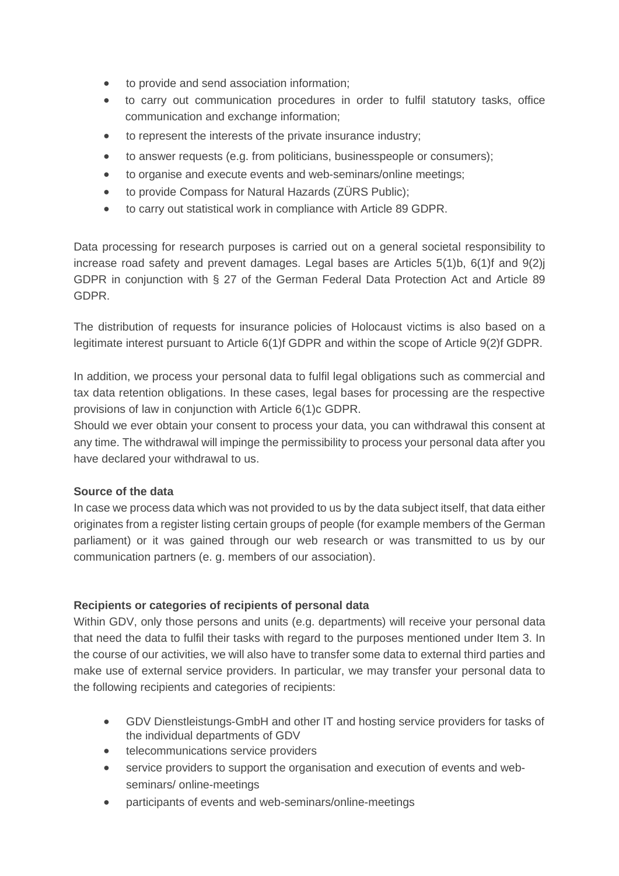- to provide and send association information;
- to carry out communication procedures in order to fulfil statutory tasks, office communication and exchange information;
- to represent the interests of the private insurance industry;
- to answer requests (e.g. from politicians, businesspeople or consumers);
- to organise and execute events and web-seminars/online meetings;
- to provide Compass for Natural Hazards (ZÜRS Public);
- to carry out statistical work in compliance with Article 89 GDPR.

Data processing for research purposes is carried out on a general societal responsibility to increase road safety and prevent damages. Legal bases are Articles 5(1)b, 6(1)f and 9(2)j GDPR in conjunction with § 27 of the German Federal Data Protection Act and Article 89 GDPR.

The distribution of requests for insurance policies of Holocaust victims is also based on a legitimate interest pursuant to Article 6(1)f GDPR and within the scope of Article 9(2)f GDPR.

In addition, we process your personal data to fulfil legal obligations such as commercial and tax data retention obligations. In these cases, legal bases for processing are the respective provisions of law in conjunction with Article 6(1)c GDPR.

Should we ever obtain your consent to process your data, you can withdrawal this consent at any time. The withdrawal will impinge the permissibility to process your personal data after you have declared your withdrawal to us.

# **Source of the data**

In case we process data which was not provided to us by the data subject itself, that data either originates from a register listing certain groups of people (for example members of the German parliament) or it was gained through our web research or was transmitted to us by our communication partners (e. g. members of our association).

## **Recipients or categories of recipients of personal data**

Within GDV, only those persons and units (e.g. departments) will receive your personal data that need the data to fulfil their tasks with regard to the purposes mentioned under Item 3. In the course of our activities, we will also have to transfer some data to external third parties and make use of external service providers. In particular, we may transfer your personal data to the following recipients and categories of recipients:

- GDV Dienstleistungs-GmbH and other IT and hosting service providers for tasks of the individual departments of GDV
- **•** telecommunications service providers
- service providers to support the organisation and execution of events and webseminars/ online-meetings
- participants of events and web-seminars/online-meetings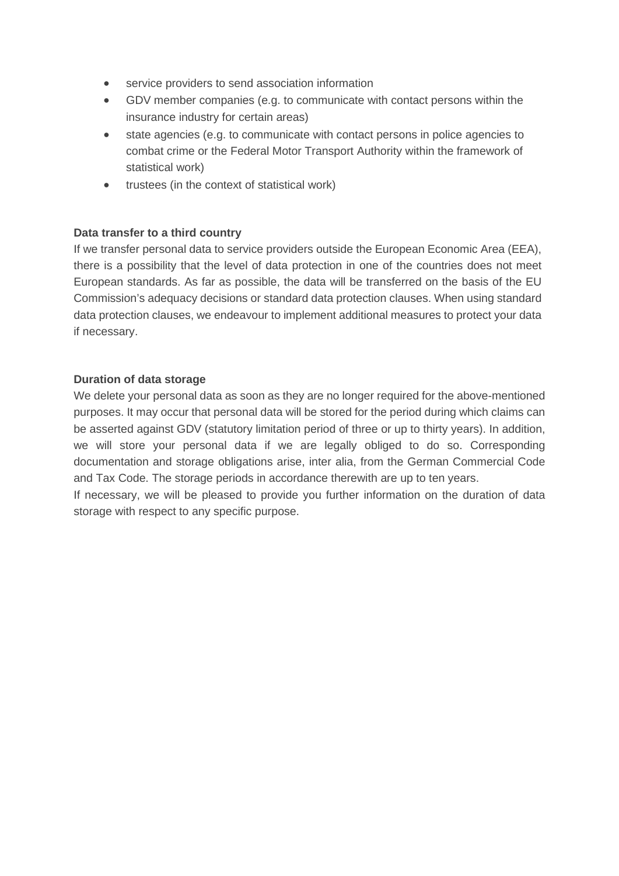- service providers to send association information
- GDV member companies (e.g. to communicate with contact persons within the insurance industry for certain areas)
- state agencies (e.g. to communicate with contact persons in police agencies to combat crime or the Federal Motor Transport Authority within the framework of statistical work)
- trustees (in the context of statistical work)

# **Data transfer to a third country**

If we transfer personal data to service providers outside the European Economic Area (EEA), there is a possibility that the level of data protection in one of the countries does not meet European standards. As far as possible, the data will be transferred on the basis of the EU Commission's adequacy decisions or standard data protection clauses. When using standard data protection clauses, we endeavour to implement additional measures to protect your data if necessary.

## **Duration of data storage**

We delete your personal data as soon as they are no longer required for the above-mentioned purposes. It may occur that personal data will be stored for the period during which claims can be asserted against GDV (statutory limitation period of three or up to thirty years). In addition, we will store your personal data if we are legally obliged to do so. Corresponding documentation and storage obligations arise, inter alia, from the German Commercial Code and Tax Code. The storage periods in accordance therewith are up to ten years.

If necessary, we will be pleased to provide you further information on the duration of data storage with respect to any specific purpose.